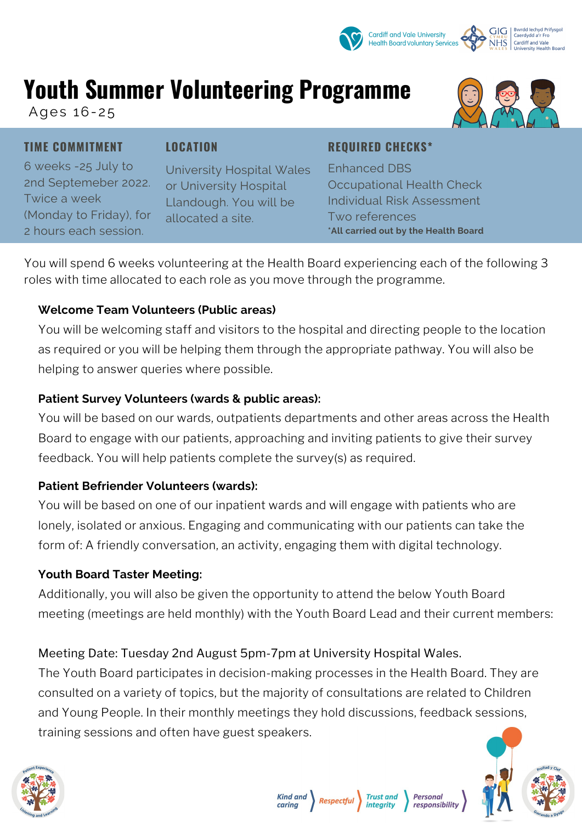# **Youth Summer Volunteering Programme**

Ages 16-25

**TIME COMMITMENT**

### **LOCATION**

**REQUIRED CHECKS\***

6 weeks -25 July to 2nd Septemeber 2022. Twice a week (Monday to Friday), for 2 hours each session.

University Hospital Wales or University Hospital Llandough. You will be allocated a site.

### Enhanced DBS Occupational Health Check Individual Risk Assessment Two references **\*All carried out by the Health Board**

You will spend 6 weeks volunteering at the Health Board experiencing each of the following 3 roles with time allocated to each role as you move through the programme.

## **Welcome Team Volunteers (Public areas)**

You will be welcoming staff and visitors to the hospital and directing people to the location as required or you will be helping them through the appropriate pathway. You will also be helping to answer queries where possible.

## **Patient Survey Volunteers (wards & public areas):**

You will be based on our wards, outpatients departments and other areas across the Health Board to engage with our patients, approaching and inviting patients to give their survey feedback. You will help patients complete the survey(s) as required.

## **Patient Befriender Volunteers (wards):**

You will be based on one of our inpatient wards and will engage with patients who are lonely, isolated or anxious. Engaging and communicating with our patients can take the form of: A friendly conversation, an activity, engaging them with digital technology.

## **Youth Board Taster Meeting:**

Additionally, you will also be given the opportunity to attend the below Youth Board meeting (meetings are held monthly) with the Youth Board Lead and their current members:

## Meeting Date: Tuesday 2nd August 5pm-7pm at University Hospital Wales.

The Youth Board participates in decision-making processes in the Health Board. They are consulted on a variety of topics, but the majority of consultations are related to Children and Young People. In their monthly meetings they hold discussions, feedback sessions, training sessions and often have guest speakers.









**Kind and Respectful** 

**Trust and** 

intearity

**Personal** 

responsibility